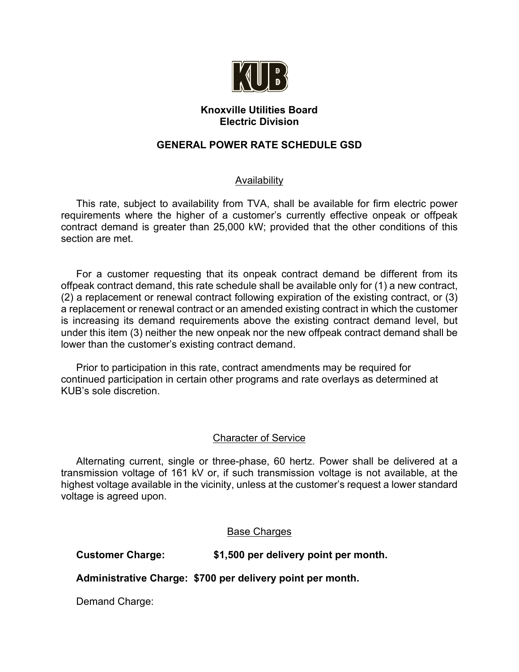

## **Knoxville Utilities Board Electric Division**

# **GENERAL POWER RATE SCHEDULE GSD**

# Availability

This rate, subject to availability from TVA, shall be available for firm electric power requirements where the higher of a customer's currently effective onpeak or offpeak contract demand is greater than 25,000 kW; provided that the other conditions of this section are met.

For a customer requesting that its onpeak contract demand be different from its offpeak contract demand, this rate schedule shall be available only for (1) a new contract, (2) a replacement or renewal contract following expiration of the existing contract, or (3) a replacement or renewal contract or an amended existing contract in which the customer is increasing its demand requirements above the existing contract demand level, but under this item (3) neither the new onpeak nor the new offpeak contract demand shall be lower than the customer's existing contract demand.

Prior to participation in this rate, contract amendments may be required for continued participation in certain other programs and rate overlays as determined at KUB's sole discretion.

## Character of Service

Alternating current, single or three-phase, 60 hertz. Power shall be delivered at a transmission voltage of 161 kV or, if such transmission voltage is not available, at the highest voltage available in the vicinity, unless at the customer's request a lower standard voltage is agreed upon.

## Base Charges

**Customer Charge: \$1,500 per delivery point per month.**

**Administrative Charge: \$700 per delivery point per month.**

Demand Charge: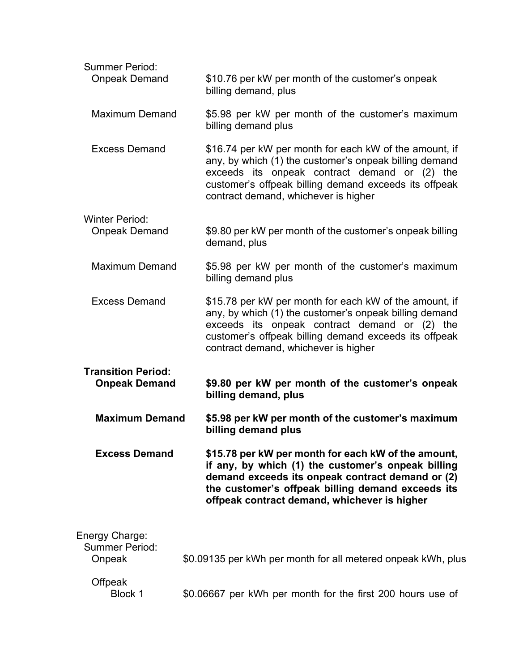| <b>Summer Period:</b><br><b>Onpeak Demand</b>     | \$10.76 per kW per month of the customer's onpeak<br>billing demand, plus                                                                                                                                                                                          |
|---------------------------------------------------|--------------------------------------------------------------------------------------------------------------------------------------------------------------------------------------------------------------------------------------------------------------------|
| <b>Maximum Demand</b>                             | \$5.98 per kW per month of the customer's maximum<br>billing demand plus                                                                                                                                                                                           |
| <b>Excess Demand</b>                              | \$16.74 per kW per month for each kW of the amount, if<br>any, by which (1) the customer's onpeak billing demand<br>exceeds its onpeak contract demand or (2) the<br>customer's offpeak billing demand exceeds its offpeak<br>contract demand, whichever is higher |
| <b>Winter Period:</b>                             |                                                                                                                                                                                                                                                                    |
| <b>Onpeak Demand</b>                              | \$9.80 per kW per month of the customer's onpeak billing<br>demand, plus                                                                                                                                                                                           |
| <b>Maximum Demand</b>                             | \$5.98 per kW per month of the customer's maximum<br>billing demand plus                                                                                                                                                                                           |
| <b>Excess Demand</b>                              | \$15.78 per kW per month for each kW of the amount, if<br>any, by which (1) the customer's onpeak billing demand<br>exceeds its onpeak contract demand or (2) the<br>customer's offpeak billing demand exceeds its offpeak<br>contract demand, whichever is higher |
| <b>Transition Period:</b><br><b>Onpeak Demand</b> | \$9.80 per kW per month of the customer's onpeak<br>billing demand, plus                                                                                                                                                                                           |
| <b>Maximum Demand</b>                             | \$5.98 per kW per month of the customer's maximum<br>billing demand plus                                                                                                                                                                                           |
| <b>Excess Demand</b>                              | \$15.78 per kW per month for each kW of the amount,<br>if any, by which (1) the customer's onpeak billing<br>demand exceeds its onpeak contract demand or (2)<br>the customer's offpeak billing demand exceeds its<br>offpeak contract demand, whichever is higher |
| Energy Charge:<br><b>Summer Period:</b><br>Onpeak | \$0.09135 per kWh per month for all metered onpeak kWh, plus                                                                                                                                                                                                       |
| Offpeak<br><b>Block 1</b>                         | \$0.06667 per kWh per month for the first 200 hours use of                                                                                                                                                                                                         |
|                                                   |                                                                                                                                                                                                                                                                    |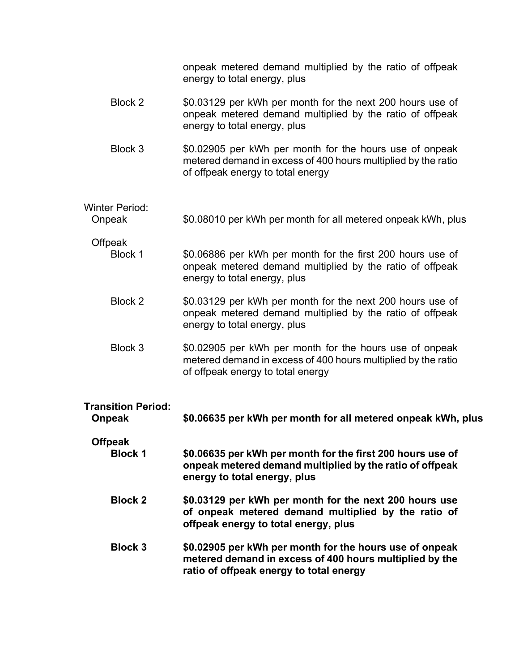| \$0.08010 per kWh per month for all metered onpeak kWh, plus<br>\$0.06886 per kWh per month for the first 200 hours use of<br>onpeak metered demand multiplied by the ratio of offpeak<br>energy to total energy, plus<br>\$0.03129 per kWh per month for the next 200 hours use of<br>onpeak metered demand multiplied by the ratio of offpeak<br>energy to total energy, plus<br>\$0.02905 per kWh per month for the hours use of onpeak |
|--------------------------------------------------------------------------------------------------------------------------------------------------------------------------------------------------------------------------------------------------------------------------------------------------------------------------------------------------------------------------------------------------------------------------------------------|
|                                                                                                                                                                                                                                                                                                                                                                                                                                            |
|                                                                                                                                                                                                                                                                                                                                                                                                                                            |
|                                                                                                                                                                                                                                                                                                                                                                                                                                            |
| \$0.02905 per kWh per month for the hours use of onpeak<br>metered demand in excess of 400 hours multiplied by the ratio<br>of offpeak energy to total energy                                                                                                                                                                                                                                                                              |
| \$0.03129 per kWh per month for the next 200 hours use of<br>onpeak metered demand multiplied by the ratio of offpeak<br>energy to total energy, plus                                                                                                                                                                                                                                                                                      |
|                                                                                                                                                                                                                                                                                                                                                                                                                                            |
|                                                                                                                                                                                                                                                                                                                                                                                                                                            |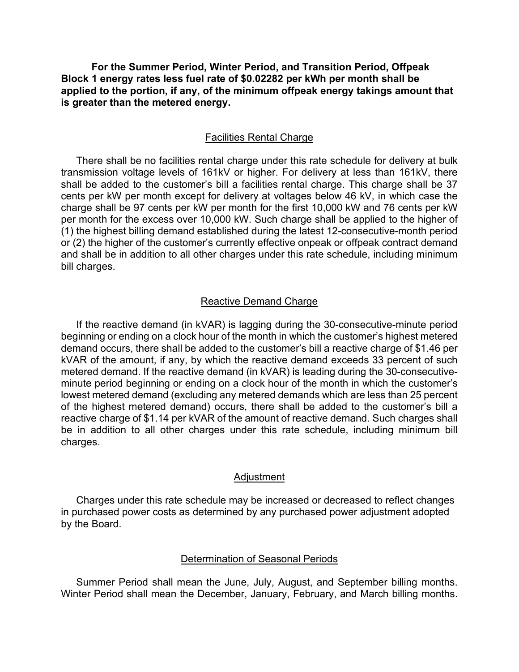**For the Summer Period, Winter Period, and Transition Period, Offpeak Block 1 energy rates less fuel rate of \$0.02282 per kWh per month shall be applied to the portion, if any, of the minimum offpeak energy takings amount that is greater than the metered energy.**

#### Facilities Rental Charge

There shall be no facilities rental charge under this rate schedule for delivery at bulk transmission voltage levels of 161kV or higher. For delivery at less than 161kV, there shall be added to the customer's bill a facilities rental charge. This charge shall be 37 cents per kW per month except for delivery at voltages below 46 kV, in which case the charge shall be 97 cents per kW per month for the first 10,000 kW and 76 cents per kW per month for the excess over 10,000 kW. Such charge shall be applied to the higher of (1) the highest billing demand established during the latest 12-consecutive-month period or (2) the higher of the customer's currently effective onpeak or offpeak contract demand and shall be in addition to all other charges under this rate schedule, including minimum bill charges.

### Reactive Demand Charge

If the reactive demand (in kVAR) is lagging during the 30-consecutive-minute period beginning or ending on a clock hour of the month in which the customer's highest metered demand occurs, there shall be added to the customer's bill a reactive charge of \$1.46 per kVAR of the amount, if any, by which the reactive demand exceeds 33 percent of such metered demand. If the reactive demand (in kVAR) is leading during the 30-consecutiveminute period beginning or ending on a clock hour of the month in which the customer's lowest metered demand (excluding any metered demands which are less than 25 percent of the highest metered demand) occurs, there shall be added to the customer's bill a reactive charge of \$1.14 per kVAR of the amount of reactive demand. Such charges shall be in addition to all other charges under this rate schedule, including minimum bill charges.

## Adjustment

Charges under this rate schedule may be increased or decreased to reflect changes in purchased power costs as determined by any purchased power adjustment adopted by the Board.

#### Determination of Seasonal Periods

Summer Period shall mean the June, July, August, and September billing months. Winter Period shall mean the December, January, February, and March billing months.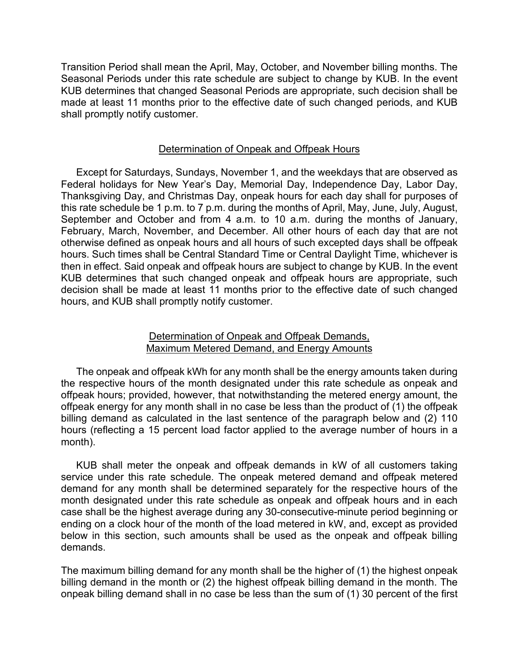Transition Period shall mean the April, May, October, and November billing months. The Seasonal Periods under this rate schedule are subject to change by KUB. In the event KUB determines that changed Seasonal Periods are appropriate, such decision shall be made at least 11 months prior to the effective date of such changed periods, and KUB shall promptly notify customer.

#### Determination of Onpeak and Offpeak Hours

Except for Saturdays, Sundays, November 1, and the weekdays that are observed as Federal holidays for New Year's Day, Memorial Day, Independence Day, Labor Day, Thanksgiving Day, and Christmas Day, onpeak hours for each day shall for purposes of this rate schedule be 1 p.m. to 7 p.m. during the months of April, May, June, July, August, September and October and from 4 a.m. to 10 a.m. during the months of January, February, March, November, and December. All other hours of each day that are not otherwise defined as onpeak hours and all hours of such excepted days shall be offpeak hours. Such times shall be Central Standard Time or Central Daylight Time, whichever is then in effect. Said onpeak and offpeak hours are subject to change by KUB. In the event KUB determines that such changed onpeak and offpeak hours are appropriate, such decision shall be made at least 11 months prior to the effective date of such changed hours, and KUB shall promptly notify customer.

### Determination of Onpeak and Offpeak Demands, Maximum Metered Demand, and Energy Amounts

The onpeak and offpeak kWh for any month shall be the energy amounts taken during the respective hours of the month designated under this rate schedule as onpeak and offpeak hours; provided, however, that notwithstanding the metered energy amount, the offpeak energy for any month shall in no case be less than the product of (1) the offpeak billing demand as calculated in the last sentence of the paragraph below and (2) 110 hours (reflecting a 15 percent load factor applied to the average number of hours in a month).

KUB shall meter the onpeak and offpeak demands in kW of all customers taking service under this rate schedule. The onpeak metered demand and offpeak metered demand for any month shall be determined separately for the respective hours of the month designated under this rate schedule as onpeak and offpeak hours and in each case shall be the highest average during any 30-consecutive-minute period beginning or ending on a clock hour of the month of the load metered in kW, and, except as provided below in this section, such amounts shall be used as the onpeak and offpeak billing demands.

The maximum billing demand for any month shall be the higher of (1) the highest onpeak billing demand in the month or (2) the highest offpeak billing demand in the month. The onpeak billing demand shall in no case be less than the sum of (1) 30 percent of the first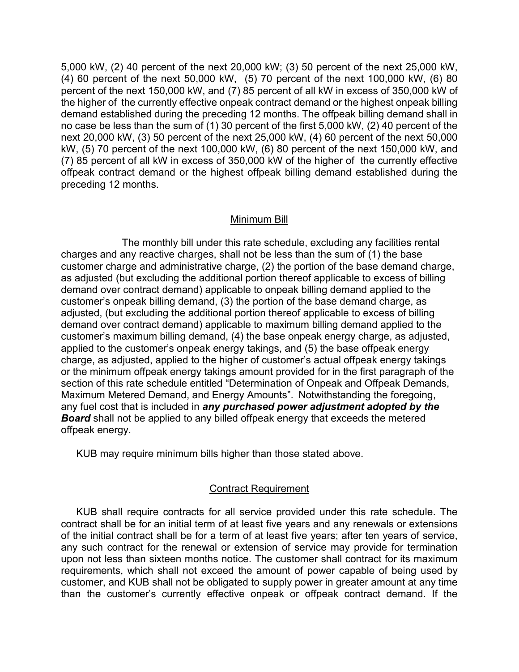5,000 kW, (2) 40 percent of the next 20,000 kW; (3) 50 percent of the next 25,000 kW, (4) 60 percent of the next 50,000 kW, (5) 70 percent of the next 100,000 kW, (6) 80 percent of the next 150,000 kW, and (7) 85 percent of all kW in excess of 350,000 kW of the higher of the currently effective onpeak contract demand or the highest onpeak billing demand established during the preceding 12 months. The offpeak billing demand shall in no case be less than the sum of (1) 30 percent of the first 5,000 kW, (2) 40 percent of the next 20,000 kW, (3) 50 percent of the next 25,000 kW, (4) 60 percent of the next 50,000 kW, (5) 70 percent of the next 100,000 kW, (6) 80 percent of the next 150,000 kW, and (7) 85 percent of all kW in excess of 350,000 kW of the higher of the currently effective offpeak contract demand or the highest offpeak billing demand established during the preceding 12 months.

### Minimum Bill

The monthly bill under this rate schedule, excluding any facilities rental charges and any reactive charges, shall not be less than the sum of (1) the base customer charge and administrative charge, (2) the portion of the base demand charge, as adjusted (but excluding the additional portion thereof applicable to excess of billing demand over contract demand) applicable to onpeak billing demand applied to the customer's onpeak billing demand, (3) the portion of the base demand charge, as adjusted, (but excluding the additional portion thereof applicable to excess of billing demand over contract demand) applicable to maximum billing demand applied to the customer's maximum billing demand, (4) the base onpeak energy charge, as adjusted, applied to the customer's onpeak energy takings, and (5) the base offpeak energy charge, as adjusted, applied to the higher of customer's actual offpeak energy takings or the minimum offpeak energy takings amount provided for in the first paragraph of the section of this rate schedule entitled "Determination of Onpeak and Offpeak Demands, Maximum Metered Demand, and Energy Amounts". Notwithstanding the foregoing, any fuel cost that is included in *any purchased power adjustment adopted by the Board* shall not be applied to any billed offpeak energy that exceeds the metered offpeak energy.

KUB may require minimum bills higher than those stated above.

## Contract Requirement

KUB shall require contracts for all service provided under this rate schedule. The contract shall be for an initial term of at least five years and any renewals or extensions of the initial contract shall be for a term of at least five years; after ten years of service, any such contract for the renewal or extension of service may provide for termination upon not less than sixteen months notice. The customer shall contract for its maximum requirements, which shall not exceed the amount of power capable of being used by customer, and KUB shall not be obligated to supply power in greater amount at any time than the customer's currently effective onpeak or offpeak contract demand. If the